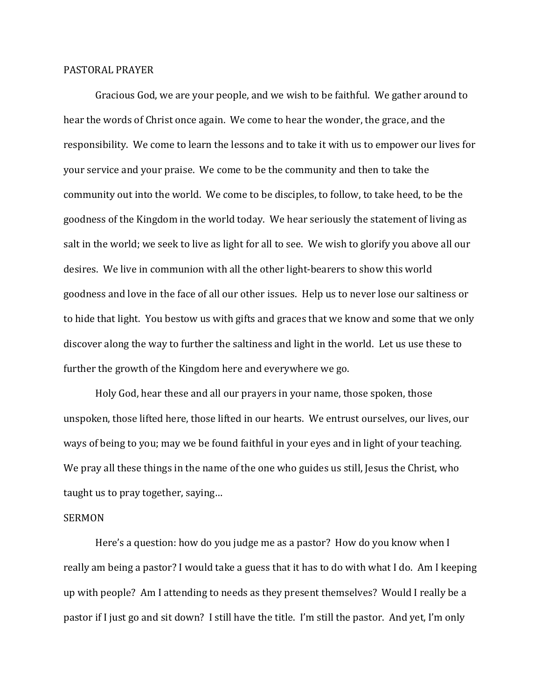## PASTORAL PRAYER

 Gracious God, we are your people, and we wish to be faithful. We gather around to hear the words of Christ once again. We come to hear the wonder, the grace, and the responsibility. We come to learn the lessons and to take it with us to empower our lives for your service and your praise. We come to be the community and then to take the community out into the world. We come to be disciples, to follow, to take heed, to be the goodness of the Kingdom in the world today. We hear seriously the statement of living as salt in the world; we seek to live as light for all to see. We wish to glorify you above all our desires. We live in communion with all the other light-bearers to show this world goodness and love in the face of all our other issues. Help us to never lose our saltiness or to hide that light. You bestow us with gifts and graces that we know and some that we only discover along the way to further the saltiness and light in the world. Let us use these to further the growth of the Kingdom here and everywhere we go.

 Holy God, hear these and all our prayers in your name, those spoken, those unspoken, those lifted here, those lifted in our hearts. We entrust ourselves, our lives, our ways of being to you; may we be found faithful in your eyes and in light of your teaching. We pray all these things in the name of the one who guides us still, Jesus the Christ, who taught us to pray together, saying…

## SERMON

 Here's a question: how do you judge me as a pastor? How do you know when I really am being a pastor? I would take a guess that it has to do with what I do. Am I keeping up with people? Am I attending to needs as they present themselves? Would I really be a pastor if I just go and sit down? I still have the title. I'm still the pastor. And yet, I'm only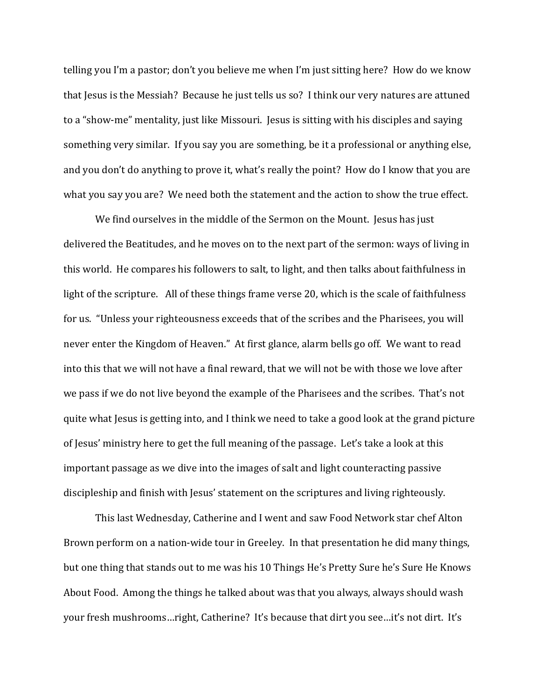telling you I'm a pastor; don't you believe me when I'm just sitting here? How do we know that Jesus is the Messiah? Because he just tells us so? I think our very natures are attuned to a "show-me" mentality, just like Missouri. Jesus is sitting with his disciples and saying something very similar. If you say you are something, be it a professional or anything else, and you don't do anything to prove it, what's really the point? How do I know that you are what you say you are? We need both the statement and the action to show the true effect.

We find ourselves in the middle of the Sermon on the Mount. Jesus has just delivered the Beatitudes, and he moves on to the next part of the sermon: ways of living in this world. He compares his followers to salt, to light, and then talks about faithfulness in light of the scripture. All of these things frame verse 20, which is the scale of faithfulness for us. "Unless your righteousness exceeds that of the scribes and the Pharisees, you will never enter the Kingdom of Heaven." At first glance, alarm bells go off. We want to read into this that we will not have a final reward, that we will not be with those we love after we pass if we do not live beyond the example of the Pharisees and the scribes. That's not quite what Jesus is getting into, and I think we need to take a good look at the grand picture of Jesus' ministry here to get the full meaning of the passage. Let's take a look at this important passage as we dive into the images of salt and light counteracting passive discipleship and finish with Jesus' statement on the scriptures and living righteously.

 This last Wednesday, Catherine and I went and saw Food Network star chef Alton Brown perform on a nation-wide tour in Greeley. In that presentation he did many things, but one thing that stands out to me was his 10 Things He's Pretty Sure he's Sure He Knows About Food. Among the things he talked about was that you always, always should wash your fresh mushrooms…right, Catherine? It's because that dirt you see…it's not dirt. It's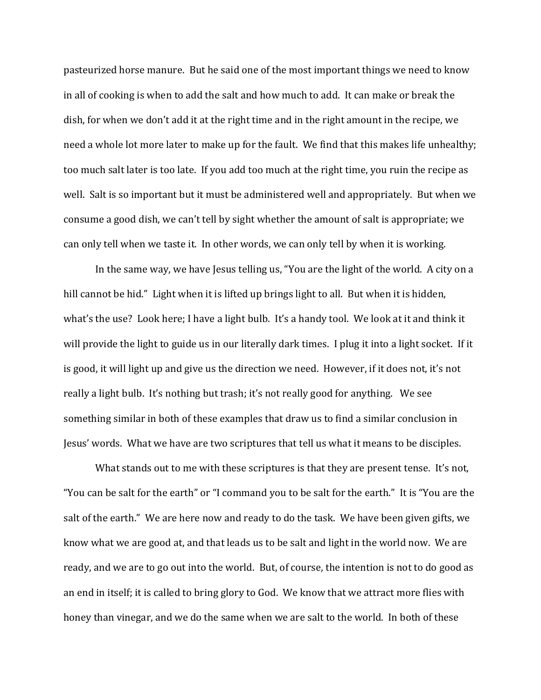pasteurized horse manure. But he said one of the most important things we need to know in all of cooking is when to add the salt and how much to add. It can make or break the dish, for when we don't add it at the right time and in the right amount in the recipe, we need a whole lot more later to make up for the fault. We find that this makes life unhealthy; too much salt later is too late. If you add too much at the right time, you ruin the recipe as well. Salt is so important but it must be administered well and appropriately. But when we consume a good dish, we can't tell by sight whether the amount of salt is appropriate; we can only tell when we taste it. In other words, we can only tell by when it is working.

 In the same way, we have Jesus telling us, "You are the light of the world. A city on a hill cannot be hid." Light when it is lifted up brings light to all. But when it is hidden, what's the use? Look here; I have a light bulb. It's a handy tool. We look at it and think it will provide the light to guide us in our literally dark times. I plug it into a light socket. If it is good, it will light up and give us the direction we need. However, if it does not, it's not really a light bulb. It's nothing but trash; it's not really good for anything. We see something similar in both of these examples that draw us to find a similar conclusion in Jesus' words. What we have are two scriptures that tell us what it means to be disciples.

What stands out to me with these scriptures is that they are present tense. It's not, "You can be salt for the earth" or "I command you to be salt for the earth." It is "You are the salt of the earth." We are here now and ready to do the task. We have been given gifts, we know what we are good at, and that leads us to be salt and light in the world now. We are ready, and we are to go out into the world. But, of course, the intention is not to do good as an end in itself; it is called to bring glory to God. We know that we attract more flies with honey than vinegar, and we do the same when we are salt to the world. In both of these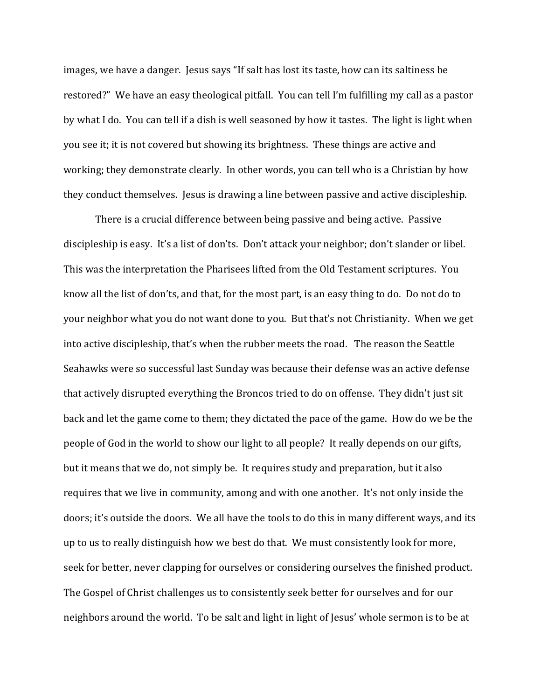images, we have a danger. Jesus says "If salt has lost its taste, how can its saltiness be restored?" We have an easy theological pitfall. You can tell I'm fulfilling my call as a pastor by what I do. You can tell if a dish is well seasoned by how it tastes. The light is light when you see it; it is not covered but showing its brightness. These things are active and working; they demonstrate clearly. In other words, you can tell who is a Christian by how they conduct themselves. Jesus is drawing a line between passive and active discipleship.

 There is a crucial difference between being passive and being active. Passive discipleship is easy. It's a list of don'ts. Don't attack your neighbor; don't slander or libel. This was the interpretation the Pharisees lifted from the Old Testament scriptures. You know all the list of don'ts, and that, for the most part, is an easy thing to do. Do not do to your neighbor what you do not want done to you. But that's not Christianity. When we get into active discipleship, that's when the rubber meets the road. The reason the Seattle Seahawks were so successful last Sunday was because their defense was an active defense that actively disrupted everything the Broncos tried to do on offense. They didn't just sit back and let the game come to them; they dictated the pace of the game. How do we be the people of God in the world to show our light to all people? It really depends on our gifts, but it means that we do, not simply be. It requires study and preparation, but it also requires that we live in community, among and with one another. It's not only inside the doors; it's outside the doors. We all have the tools to do this in many different ways, and its up to us to really distinguish how we best do that. We must consistently look for more, seek for better, never clapping for ourselves or considering ourselves the finished product. The Gospel of Christ challenges us to consistently seek better for ourselves and for our neighbors around the world. To be salt and light in light of Jesus' whole sermon is to be at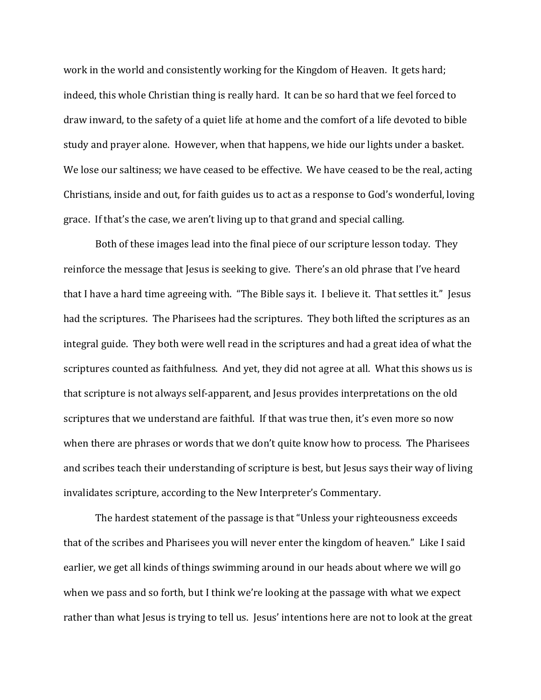work in the world and consistently working for the Kingdom of Heaven. It gets hard; indeed, this whole Christian thing is really hard. It can be so hard that we feel forced to draw inward, to the safety of a quiet life at home and the comfort of a life devoted to bible study and prayer alone. However, when that happens, we hide our lights under a basket. We lose our saltiness; we have ceased to be effective. We have ceased to be the real, acting Christians, inside and out, for faith guides us to act as a response to God's wonderful, loving grace. If that's the case, we aren't living up to that grand and special calling.

 Both of these images lead into the final piece of our scripture lesson today. They reinforce the message that Jesus is seeking to give. There's an old phrase that I've heard that I have a hard time agreeing with. "The Bible says it. I believe it. That settles it." Jesus had the scriptures. The Pharisees had the scriptures. They both lifted the scriptures as an integral guide. They both were well read in the scriptures and had a great idea of what the scriptures counted as faithfulness. And yet, they did not agree at all. What this shows us is that scripture is not always self-apparent, and Jesus provides interpretations on the old scriptures that we understand are faithful. If that was true then, it's even more so now when there are phrases or words that we don't quite know how to process. The Pharisees and scribes teach their understanding of scripture is best, but Jesus says their way of living invalidates scripture, according to the New Interpreter's Commentary.

 The hardest statement of the passage is that "Unless your righteousness exceeds that of the scribes and Pharisees you will never enter the kingdom of heaven." Like I said earlier, we get all kinds of things swimming around in our heads about where we will go when we pass and so forth, but I think we're looking at the passage with what we expect rather than what Jesus is trying to tell us. Jesus' intentions here are not to look at the great